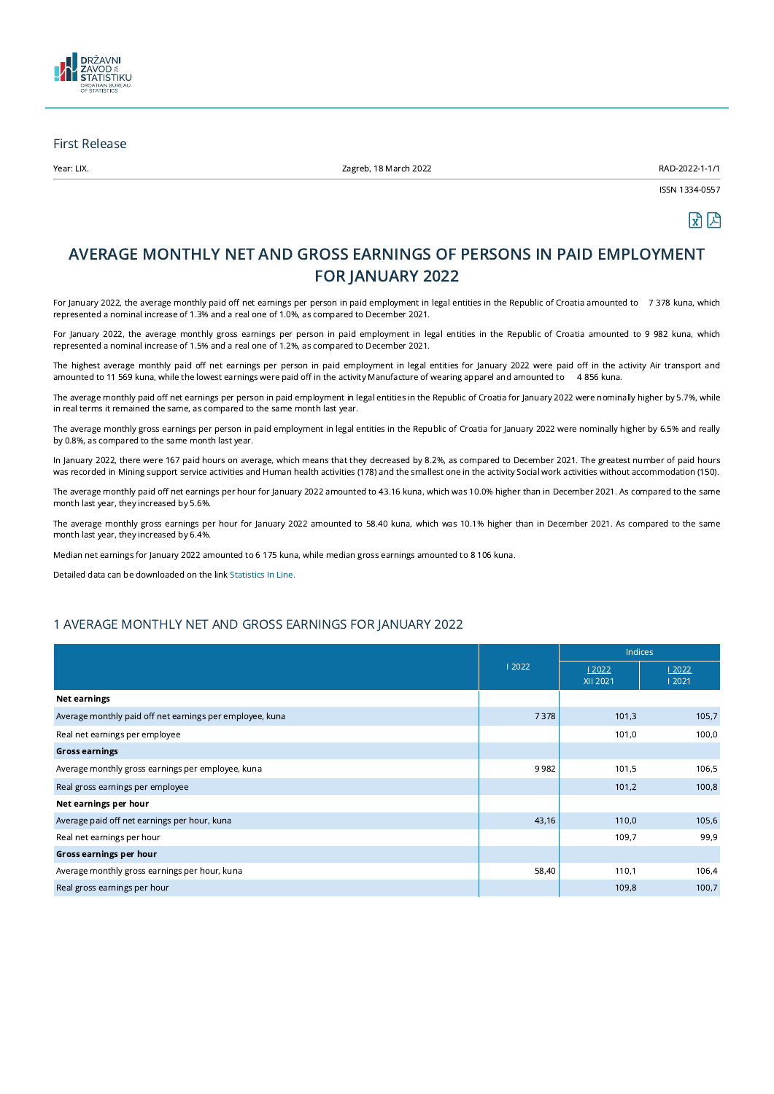

### First Release

Year: LIX. Zagreb, 18 March 2022 RAD-2022-1-1/1

ISSN 1334-0557



# AVERAGE MONTHLY NET AND GROSS EARNINGS OF PERSONS IN PAID EMPLOYMENT FOR JANUARY 2022

For January 2022, the average monthly paid off net earnings per person in paid employment in legal entities in the Republic of Croatia amounted to 7 378 kuna, which represented a nominal increase of 1.3% and a real one of 1.0%, as compared to December 2021.

For January 2022, the average monthly gross earnings per person in paid employment in legal entities in the Republic of Croatia amounted to 9 982 kuna, which represented a nominal increase of 1.5% and a real one of 1.2%, as compared to December 2021.

The highest average monthly paid off net earnings per person in paid employment in legal entities for January 2022 were paid off in the activity Air transport and amounted to 11 569 kuna, while the lowest earnings were paid off in the activity Manufacture of wearing apparel and amounted to 4 856 kuna.

The average monthly paid off net earnings per person in paid employment in legal entities in the Republic of Croatia for January 2022 were nominally higher by 5.7%, while in real terms it remained the same, as compared to the same month last year.

The average monthly gross earnings per person in paid employment in legal entities in the Republic of Croatia for January 2022 were nominally higher by 6.5% and really by 0.8%, as compared to the same month last year.

In January 2022, there were 167 paid hours on average, which means that they decreased by 8.2%, as compared to December 2021. The greatest number of paid hours was recorded in Mining support service activities and Human health activities (178) and the smallest one in the activity Social work activities without accommodation (150).

The average monthly paid off net earnings per hour for January 2022 amounted to 43.16 kuna, which was 10.0% higher than in December 2021. As compared to the same month last year, they increased by 5.6%.

The average monthly gross earnings per hour for January 2022 amounted to 58.40 kuna, which was 10.1% higher than in December 2021. As compared to the same month last year, they increased by 6.4%.

Median net earnings for January 2022 amounted to 6 175 kuna, while median gross earnings amounted to 8 106 kuna.

Detailed data can be downloaded on the link [Statistics](https://www.dzs.hr/Hrv_Eng/Pokazatelji/ZAPOSLENOST%20i%20place/PLACE.xlsx) In Line.

# 1 AVERAGE MONTHLY NET AND GROSS EARNINGS FOR JANUARY 2022

|                                                          |       | <b>Indices</b>    |                |
|----------------------------------------------------------|-------|-------------------|----------------|
|                                                          | 12022 | 12022<br>XII 2021 | 12022<br>12021 |
| Net earnings                                             |       |                   |                |
| Average monthly paid off net earnings per employee, kuna | 7378  | 101,3             | 105,7          |
| Real net earnings per employee                           |       | 101,0             | 100,0          |
| <b>Gross earnings</b>                                    |       |                   |                |
| Average monthly gross earnings per employee, kuna        | 9982  | 101,5             | 106,5          |
| Real gross earnings per employee                         |       | 101,2             | 100,8          |
| Net earnings per hour                                    |       |                   |                |
| Average paid off net earnings per hour, kuna             | 43,16 | 110,0             | 105,6          |
| Real net earnings per hour                               |       | 109,7             | 99,9           |
| Gross earnings per hour                                  |       |                   |                |
| Average monthly gross earnings per hour, kuna            | 58,40 | 110,1             | 106,4          |
| Real gross earnings per hour                             |       | 109,8             | 100,7          |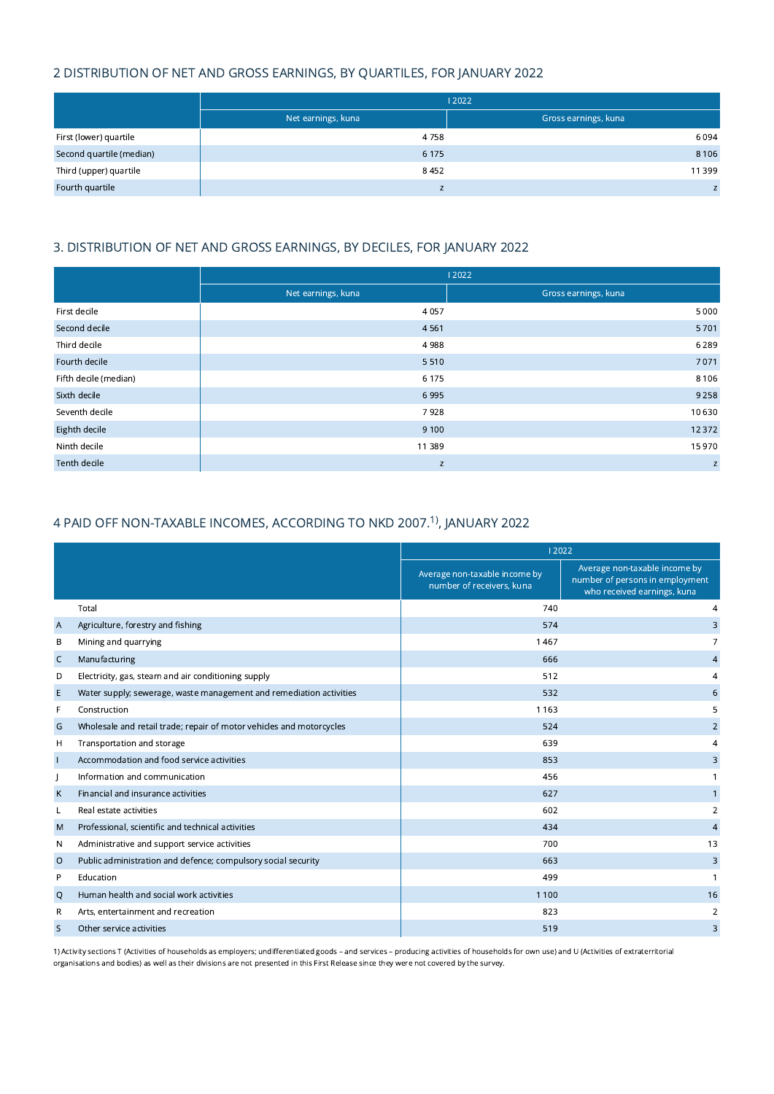# 2 DISTRIBUTION OF NET AND GROSS EARNINGS, BY QUARTILES, FOR JANUARY 2022

|                          | 12022              |                      |  |
|--------------------------|--------------------|----------------------|--|
|                          | Net earnings, kuna | Gross earnings, kuna |  |
| First (lower) quartile   | 4758               | 6094                 |  |
| Second quartile (median) | 6 1 7 5            | 8 1 0 6              |  |
| Third (upper) quartile   | 8452               | 11 399               |  |
| Fourth quartile          |                    | Z                    |  |

# 3. DISTRIBUTION OF NET AND GROSS EARNINGS, BY DECILES, FOR JANUARY 2022

|                       | 12022              |                      |  |
|-----------------------|--------------------|----------------------|--|
|                       | Net earnings, kuna | Gross earnings, kuna |  |
| First decile          | 4057               | 5 0 0 0              |  |
| Second decile         | 4561               | 5701                 |  |
| Third decile          | 4988               | 6 2 8 9              |  |
| Fourth decile         | 5510               | 7071                 |  |
| Fifth decile (median) | 6 1 7 5            | 8 1 0 6              |  |
| Sixth decile          | 6995               | 9 2 5 8              |  |
| Seventh decile        | 7928               | 10 630               |  |
| Eighth decile         | 9 1 0 0            | 12 3 72              |  |
| Ninth decile          | 11 389             | 15 970               |  |
| Tenth decile          | Z                  | $\mathsf Z$          |  |

# 4 PAID OFF NON-TAXABLE INCOMES, ACCORDING TO NKD 2007.<sup>1)</sup>, JANUARY 2022

|                |                                                                      | 12022                                                      |                                                                                                 |
|----------------|----------------------------------------------------------------------|------------------------------------------------------------|-------------------------------------------------------------------------------------------------|
|                |                                                                      | Average non-taxable income by<br>number of receivers, kuna | Average non-taxable income by<br>number of persons in employment<br>who received earnings, kuna |
|                | Total                                                                | 740                                                        | 4                                                                                               |
| $\overline{A}$ | Agriculture, forestry and fishing                                    | 574                                                        | 3                                                                                               |
| В              | Mining and quarrying                                                 | 1467                                                       |                                                                                                 |
| C              | Manufacturing                                                        | 666                                                        | $\overline{4}$                                                                                  |
| D              | Electricity, gas, steam and air conditioning supply                  | 512                                                        | 4                                                                                               |
| E              | Water supply; sewerage, waste management and remediation activities  | 532                                                        | 6                                                                                               |
| F              | Construction                                                         | 1 1 6 3                                                    | 5                                                                                               |
| G              | Wholesale and retail trade; repair of motor vehicles and motorcycles | 524                                                        | $\overline{2}$                                                                                  |
| н              | Transportation and storage                                           | 639                                                        | 4                                                                                               |
|                | Accommodation and food service activities                            | 853                                                        | 3                                                                                               |
|                | Information and communication                                        | 456                                                        |                                                                                                 |
| К              | Financial and insurance activities                                   | 627                                                        |                                                                                                 |
| L              | Real estate activities                                               | 602                                                        | 2                                                                                               |
| M              | Professional, scientific and technical activities                    | 434                                                        | $\overline{4}$                                                                                  |
| N              | Administrative and support service activities                        | 700                                                        | 13                                                                                              |
| $\circ$        | Public administration and defence; compulsory social security        | 663                                                        | 3                                                                                               |
| P              | Education                                                            | 499                                                        |                                                                                                 |
| Q              | Human health and social work activities                              | 1 1 0 0                                                    | 16                                                                                              |
| R              | Arts, entertainment and recreation                                   | 823                                                        | 2                                                                                               |
| S              | Other service activities                                             | 519                                                        | 3                                                                                               |

1) Activity sections T (Activities of households as employers; undifferentiated goods – and services – producing activities of households for own use) and U (Activities of extraterritorial organisations and bodies) as well as their divisions are not presented in this First Release since they were not covered by the survey.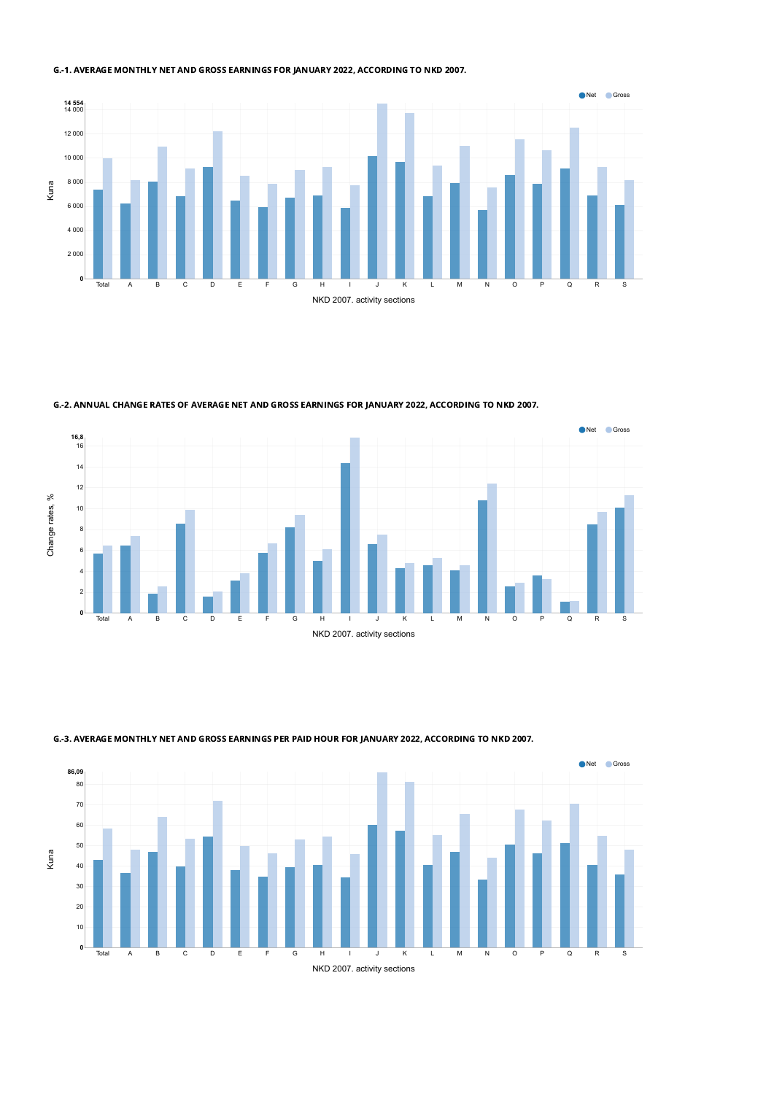### G.-1. AVERAGE MONTHLY NET AND GROSS EARNINGS FOR JANUARY 2022, ACCORDING TO NKD 2007.



G.-2. ANNUAL CHANGE RATES OF AVERAGE NET AND GROSS EARNINGS FOR JANUARY 2022, ACCORDING TO NKD 2007.





G.-3. AVERAGE MONTHLY NET AND GROSS EARNINGS PER PAID HOUR FOR JANUARY 2022, ACCORDING TO NKD 2007.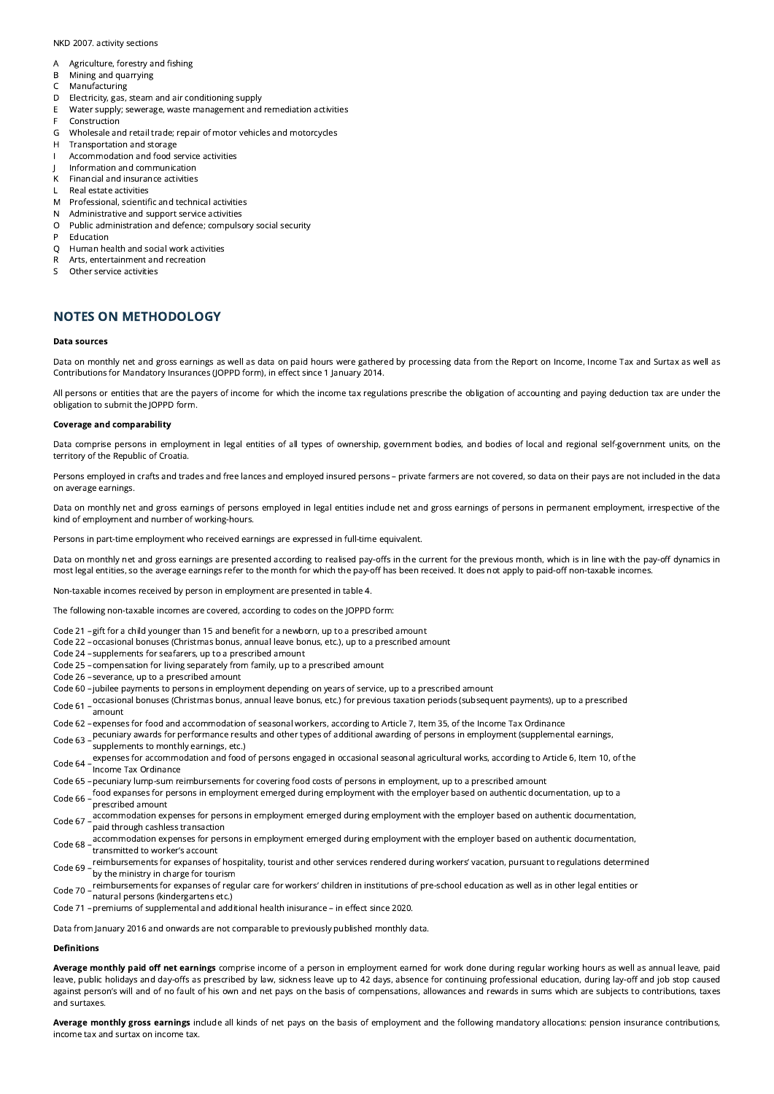#### NKD 2007. activity sections

- A Agriculture, forestry and fishing
- B Mining and quarrying
- C Manufacturing
- D Electricity, gas, steam and air conditioning supply<br>E Water supply: sewerage, waste management and
- Water supply; sewerage, waste management and remediation activities
- F Construction
- G Wholesale and retail trade; repair of motor vehicles and motorcycles
- H Transportation and storage
- I Accommodation and food service activities
- J Information and communication
- K Financial and insurance activities
- L Real estate activities
- M Professional, scientific and technical activities
- N Administrative and support service activities
- O Public administration and defence; compulsory social security
- P Education
- Q Human health and social work activities
- R Arts, entertainment and recreation
- S Other service activities

## NOTES ON METHODOLOGY

#### Data sources

Data on monthly net and gross earnings as well as data on paid hours were gathered by processing data from the Report on Income, Income Tax and Surtax as well as Contributions for Mandatory Insurances (JOPPD form), in effect since 1 January 2014.

All persons or entities that are the payers of income for which the income tax regulations prescribe the obligation of accounting and paying deduction tax are under the obligation to submit the JOPPD form.

#### Coverage and comparability

Data comprise persons in employment in legal entities of all types of ownership, government bodies, and bodies of local and regional self-government units, on the territory of the Republic of Croatia.

Persons employed in crafts and trades and free lances and employed insured persons – private farmers are not covered, so data on their pays are not included in the data on average earnings.

Data on monthly net and gross earnings of persons employed in legal entities include net and gross earnings of persons in permanent employment, irrespective of the kind of employment and number of working-hours.

Persons in part-time employment who received earnings are expressed in full-time equivalent.

Data on monthly net and gross earnings are presented according to realised pay-offs in the current for the previous month, which is in line with the pay-off dynamics in most legal entities, so the average earnings refer to the month for which the pay-off has been received. It does not apply to paid-off non-taxable incomes.

Non-taxable incomes received by person in employment are presented in table 4.

The following non-taxable incomes are covered, according to codes on the JOPPD form:

- Code 21 –gift for a child younger than 15 and benefit for a newborn, up to a prescribed amount
- Code 22 –occasional bonuses (Christmas bonus, annual leave bonus, etc.), up to a prescribed amount
- Code 24 –supplements for seafarers, up to a prescribed amount
- Code 25 –compensation for living separately from family, up to a prescribed amount
- Code 26 –severance, up to a prescribed amount
- Code 60 –jubilee payments to persons in employment depending on years of service, up to a prescribed amount
- Code <sup>61</sup> –occasional bonuses (Christmas bonus, annual leave bonus, etc.) for previous taxation periods (subsequent payments), up to <sup>a</sup> prescribed amount
- Code 62 –expenses for food and accommodation of seasonal workers, according to Article 7, Item 35, of the Income Tax Ordinance
- Code <sup>63</sup> –pecuniary awards for performance results and other types of additional awarding of persons in employment (supplemental earnings,
- supplements to monthly earnings, etc.)
- Code <sup>64</sup> –expenses for accommodation and food of persons engaged in occasional seasonal agricultural works, according to Article 6, Item 10, of the Income Tax Ordinance
- Code 65 –pecuniary lump-sum reimbursements for covering food costs of persons in employment, up to a prescribed amount
- Code 66 food expanses for persons in employment emerged during employment with the employer based on authentic documentation, up to a prescribed amount
- Code 67 accommodation expenses for persons in employment emerged during employment with the employer based on authentic documentation,<br>Code 67 asid these the sackless transaction paid through cashless transaction
- Code 68 –accommodation expenses for persons in employment emerged during employment with the employer based on authentic documentation,<br>Code 68 transmitted to worker's account
- Code 69 reimbursements for expanses of hospitality, tourist and other services rendered during workers' vacation, pursuant to regulations determined by the ministry in charge for tourism
- Code 70 reimbursements for expanses of regular care for workers' children in institutions of pre-school education as well as in other legal entities or<br>Code 70 activial acrease (lijadarentese ata) natural persons (kindergartens etc.)
- Code 71 –premiums of supplemental and additional health inisurance in effect since 2020.

Data from January 2016 and onwards are not comparable to previously published monthly data.

#### Definitions

Average monthly paid off net earnings comprise income of a person in employment earned for work done during regular working hours as well as annual leave, paid leave, public holidays and day-offs as prescribed by law, sickness leave up to 42 days, absence for continuing professional education, during lay-off and job stop caused against person's will and of no fault of his own and net pays on the basis of compensations, allowances and rewards in sums which are subjects to contributions, taxes and surtaxes.

Average monthly gross earnings include all kinds of net pays on the basis of employment and the following mandatory allocations: pension insurance contributions, income tax and surtax on income tax.